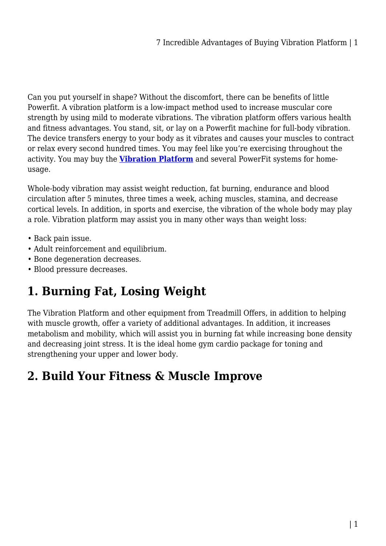Can you put yourself in shape? Without the discomfort, there can be benefits of little Powerfit. A vibration platform is a low-impact method used to increase muscular core strength by using mild to moderate vibrations. The vibration platform offers various health and fitness advantages. You stand, sit, or lay on a Powerfit machine for full-body vibration. The device transfers energy to your body as it vibrates and causes your muscles to contract or relax every second hundred times. You may feel like you're exercising throughout the activity. You may buy the **[Vibration Platform](https://treadmilloffers.com.au/vibrating-platforms/)** and several PowerFit systems for homeusage.

Whole-body vibration may assist weight reduction, fat burning, endurance and blood circulation after 5 minutes, three times a week, aching muscles, stamina, and decrease cortical levels. In addition, in sports and exercise, the vibration of the whole body may play a role. Vibration platform may assist you in many other ways than weight loss:

- Back pain issue.
- Adult reinforcement and equilibrium.
- Bone degeneration decreases.
- Blood pressure decreases.

### **1. Burning Fat, Losing Weight**

The Vibration Platform and other equipment from Treadmill Offers, in addition to helping with muscle growth, offer a variety of additional advantages. In addition, it increases metabolism and mobility, which will assist you in burning fat while increasing bone density and decreasing joint stress. It is the ideal home gym cardio package for toning and strengthening your upper and lower body.

### **2. Build Your Fitness & Muscle Improve**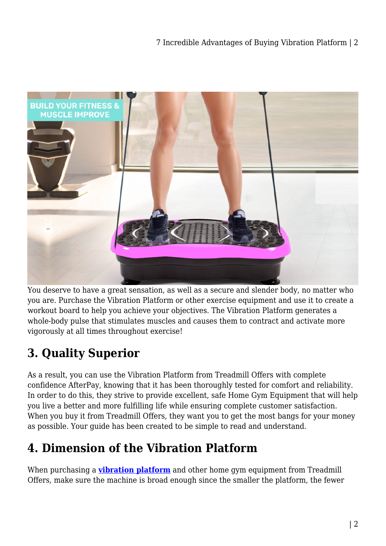

You deserve to have a great sensation, as well as a secure and slender body, no matter who you are. Purchase the Vibration Platform or other exercise equipment and use it to create a workout board to help you achieve your objectives. The Vibration Platform generates a whole-body pulse that stimulates muscles and causes them to contract and activate more vigorously at all times throughout exercise!

# **3. Quality Superior**

As a result, you can use the Vibration Platform from Treadmill Offers with complete confidence AfterPay, knowing that it has been thoroughly tested for comfort and reliability. In order to do this, they strive to provide excellent, safe Home Gym Equipment that will help you live a better and more fulfilling life while ensuring complete customer satisfaction. When you buy it from Treadmill Offers, they want you to get the most bangs for your money as possible. Your guide has been created to be simple to read and understand.

# **4. Dimension of the Vibration Platform**

When purchasing a **[vibration platform](https://treadmilloffers.com.au/vibrating-platforms/)** and other home gym equipment from Treadmill Offers, make sure the machine is broad enough since the smaller the platform, the fewer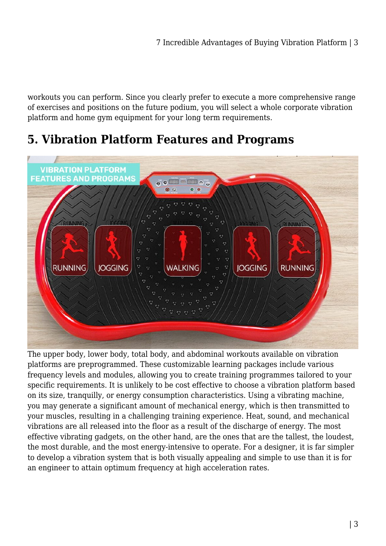workouts you can perform. Since you clearly prefer to execute a more comprehensive range of exercises and positions on the future podium, you will select a whole corporate vibration platform and home gym equipment for your long term requirements.

#### **5. Vibration Platform Features and Programs**



The upper body, lower body, total body, and abdominal workouts available on vibration platforms are preprogrammed. These customizable learning packages include various frequency levels and modules, allowing you to create training programmes tailored to your specific requirements. It is unlikely to be cost effective to choose a vibration platform based on its size, tranquilly, or energy consumption characteristics. Using a vibrating machine, you may generate a significant amount of mechanical energy, which is then transmitted to your muscles, resulting in a challenging training experience. Heat, sound, and mechanical vibrations are all released into the floor as a result of the discharge of energy. The most effective vibrating gadgets, on the other hand, are the ones that are the tallest, the loudest, the most durable, and the most energy-intensive to operate. For a designer, it is far simpler to develop a vibration system that is both visually appealing and simple to use than it is for an engineer to attain optimum frequency at high acceleration rates.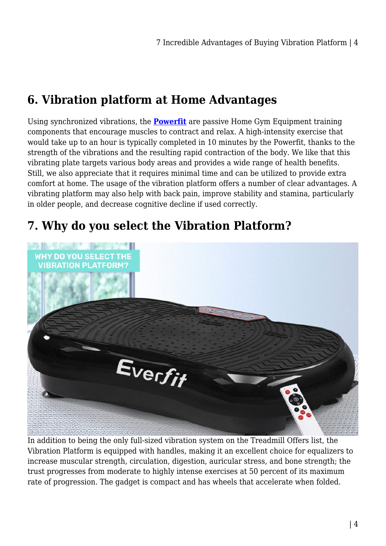## **6. Vibration platform at Home Advantages**

Using synchronized vibrations, the **[Powerfit](https://treadmilloffers.com.au/vibrating-platforms/)** are passive Home Gym Equipment training components that encourage muscles to contract and relax. A high-intensity exercise that would take up to an hour is typically completed in 10 minutes by the Powerfit, thanks to the strength of the vibrations and the resulting rapid contraction of the body. We like that this vibrating plate targets various body areas and provides a wide range of health benefits. Still, we also appreciate that it requires minimal time and can be utilized to provide extra comfort at home. The usage of the vibration platform offers a number of clear advantages. A vibrating platform may also help with back pain, improve stability and stamina, particularly in older people, and decrease cognitive decline if used correctly.

## **7. Why do you select the Vibration Platform?**



In addition to being the only full-sized vibration system on the Treadmill Offers list, the Vibration Platform is equipped with handles, making it an excellent choice for equalizers to increase muscular strength, circulation, digestion, auricular stress, and bone strength; the trust progresses from moderate to highly intense exercises at 50 percent of its maximum rate of progression. The gadget is compact and has wheels that accelerate when folded.